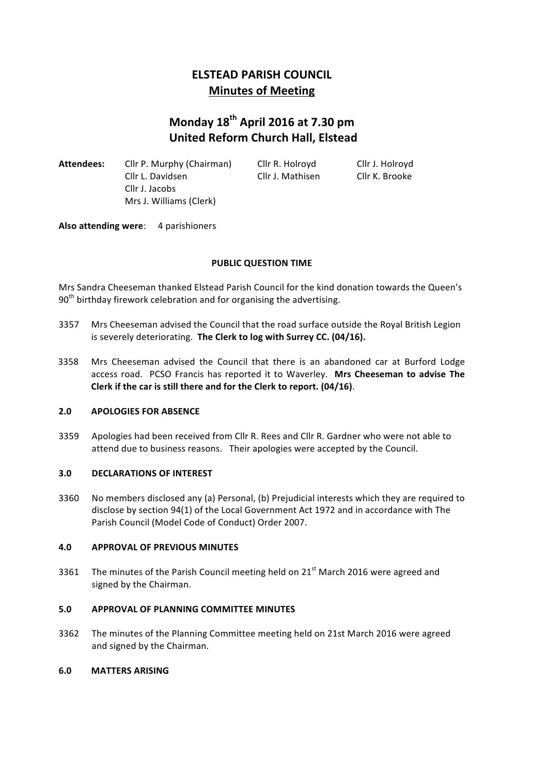# **ELSTEAD PARISH COUNCIL Minutes of Meeting**

# **Monday 18th April 2016 at 7.30 pm United Reform Church Hall, Elstead**

Attendees: Cllr P. Murphy (Chairman) Cllr R. Holroyd Cllr J. Holroyd Cllr L. Davidsen Cllr J. Mathisen Cllr K. Brooke Cllr J. Jacobs Mrs J. Williams (Clerk)

Also attending were: 4 parishioners

# **PUBLIC QUESTION TIME**

Mrs Sandra Cheeseman thanked Elstead Parish Council for the kind donation towards the Queen's  $90<sup>th</sup>$  birthday firework celebration and for organising the advertising.

- 3357 Mrs Cheeseman advised the Council that the road surface outside the Royal British Legion is severely deteriorating. The Clerk to log with Surrey CC. (04/16).
- 3358 Mrs Cheeseman advised the Council that there is an abandoned car at Burford Lodge access road. PCSO Francis has reported it to Waverley. Mrs Cheeseman to advise The Clerk if the car is still there and for the Clerk to report. (04/16).

#### **2.0 APOLOGIES FOR ABSENCE**

3359 Apologies had been received from Cllr R. Rees and Cllr R. Gardner who were not able to attend due to business reasons. Their apologies were accepted by the Council.

#### **3.0 DECLARATIONS OF INTEREST**

3360 No members disclosed any (a) Personal, (b) Prejudicial interests which they are required to disclose by section 94(1) of the Local Government Act 1972 and in accordance with The Parish Council (Model Code of Conduct) Order 2007.

#### **4.0 APPROVAL OF PREVIOUS MINUTES**

3361 The minutes of the Parish Council meeting held on  $21<sup>st</sup>$  March 2016 were agreed and signed by the Chairman.

#### **5.0 APPROVAL OF PLANNING COMMITTEE MINUTES**

3362 The minutes of the Planning Committee meeting held on 21st March 2016 were agreed and signed by the Chairman.

#### **6.0 MATTERS ARISING**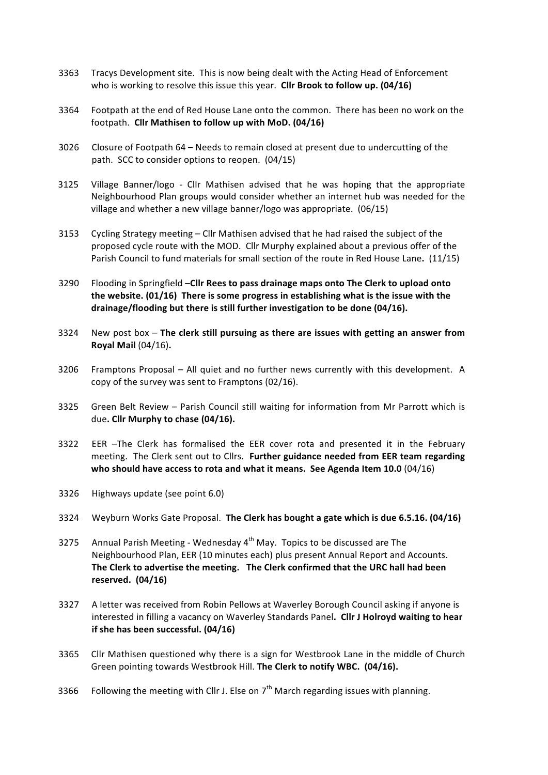- 3363 Tracys Development site. This is now being dealt with the Acting Head of Enforcement who is working to resolve this issue this year. Cllr Brook to follow up. (04/16)
- 3364 Footpath at the end of Red House Lane onto the common. There has been no work on the footpath. Cllr Mathisen to follow up with MoD. (04/16)
- 3026 Closure of Footpath 64 Needs to remain closed at present due to undercutting of the path. SCC to consider options to reopen. (04/15)
- 3125 Village Banner/logo Cllr Mathisen advised that he was hoping that the appropriate Neighbourhood Plan groups would consider whether an internet hub was needed for the village and whether a new village banner/logo was appropriate.  $(06/15)$
- 3153 Cycling Strategy meeting  $-$  Cllr Mathisen advised that he had raised the subject of the proposed cycle route with the MOD. Cllr Murphy explained about a previous offer of the Parish Council to fund materials for small section of the route in Red House Lane. (11/15)
- 3290 Flooding in Springfield -Cllr Rees to pass drainage maps onto The Clerk to upload onto the website. (01/16) There is some progress in establishing what is the issue with the drainage/flooding but there is still further investigation to be done (04/16).
- 3324 New post box The clerk still pursuing as there are issues with getting an answer from **Royal Mail** (04/16)**.**
- 3206 Framptons Proposal All quiet and no further news currently with this development. A copy of the survey was sent to Framptons  $(02/16)$ .
- 3325 Green Belt Review Parish Council still waiting for information from Mr Parrott which is due. Cllr Murphy to chase (04/16).
- 3322 EER -The Clerk has formalised the EER cover rota and presented it in the February meeting. The Clerk sent out to Cllrs. Further guidance needed from EER team regarding who should have access to rota and what it means. See Agenda Item 10.0 (04/16)
- 3326 Highways update (see point 6.0)
- 3324 Weyburn Works Gate Proposal. The Clerk has bought a gate which is due 6.5.16. (04/16)
- 3275 Annual Parish Meeting Wednesday  $4<sup>th</sup>$  May. Topics to be discussed are The Neighbourhood Plan, EER (10 minutes each) plus present Annual Report and Accounts. The Clerk to advertise the meeting. The Clerk confirmed that the URC hall had been **reserved. (04/16)**
- 3327 A letter was received from Robin Pellows at Waverley Borough Council asking if anyone is interested in filling a vacancy on Waverley Standards Panel. Cllr J Holroyd waiting to hear **if** she has been successful. (04/16)
- 3365 Cllr Mathisen questioned why there is a sign for Westbrook Lane in the middle of Church Green pointing towards Westbrook Hill. The Clerk to notify WBC. (04/16).
- 3366 Following the meeting with Cllr J. Else on  $7<sup>th</sup>$  March regarding issues with planning.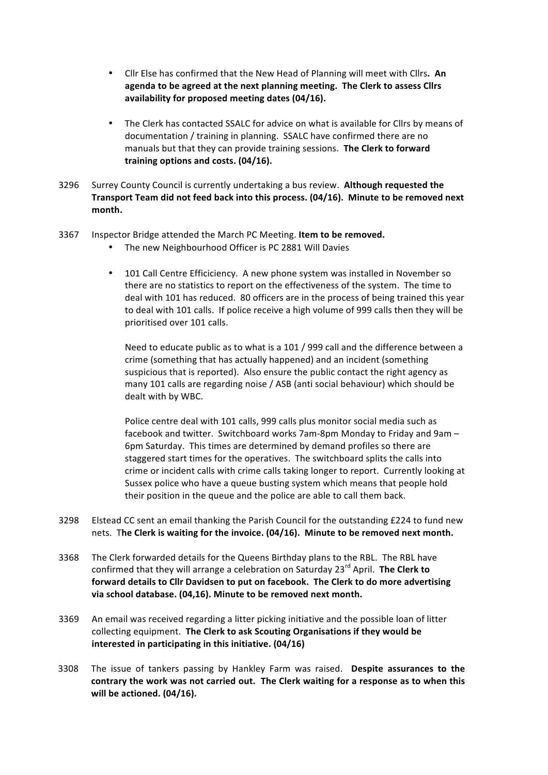- Cllr Else has confirmed that the New Head of Planning will meet with Cllrs. An agenda to be agreed at the next planning meeting. The Clerk to assess Cllrs availability for proposed meeting dates (04/16).
- The Clerk has contacted SSALC for advice on what is available for Cllrs by means of documentation / training in planning. SSALC have confirmed there are no manuals but that they can provide training sessions. The Clerk to forward training options and costs. (04/16).
- 3296 Surrey County Council is currently undertaking a bus review. Although requested the Transport Team did not feed back into this process. (04/16). Minute to be removed next **month.**
- 3367 Inspector Bridge attended the March PC Meeting. Item to be removed.
	- The new Neighbourhood Officer is PC 2881 Will Davies
	- 101 Call Centre Efficiciency. A new phone system was installed in November so there are no statistics to report on the effectiveness of the system. The time to deal with 101 has reduced. 80 officers are in the process of being trained this year to deal with 101 calls. If police receive a high volume of 999 calls then they will be prioritised over 101 calls.

Need to educate public as to what is a 101 / 999 call and the difference between a crime (something that has actually happened) and an incident (something suspicious that is reported). Also ensure the public contact the right agency as many 101 calls are regarding noise / ASB (anti social behaviour) which should be dealt with by WBC.

Police centre deal with 101 calls, 999 calls plus monitor social media such as facebook and twitter. Switchboard works 7am-8pm Monday to Friday and 9am – 6pm Saturday. This times are determined by demand profiles so there are staggered start times for the operatives. The switchboard splits the calls into crime or incident calls with crime calls taking longer to report. Currently looking at Sussex police who have a queue busting system which means that people hold their position in the queue and the police are able to call them back.

- 3298 Elstead CC sent an email thanking the Parish Council for the outstanding £224 to fund new nets. The Clerk is waiting for the invoice. (04/16). Minute to be removed next month.
- 3368 The Clerk forwarded details for the Queens Birthday plans to the RBL. The RBL have confirmed that they will arrange a celebration on Saturday 23<sup>rd</sup> April. **The Clerk to** forward details to Cllr Davidsen to put on facebook. The Clerk to do more advertising **via school database. (04,16). Minute to be removed next month.**
- 3369 An email was received regarding a litter picking initiative and the possible loan of litter collecting equipment. The Clerk to ask Scouting Organisations if they would be **interested in participating in this initiative. (04/16)**
- 3308 The issue of tankers passing by Hankley Farm was raised. Despite assurances to the contrary the work was not carried out. The Clerk waiting for a response as to when this **will be actioned. (04/16).**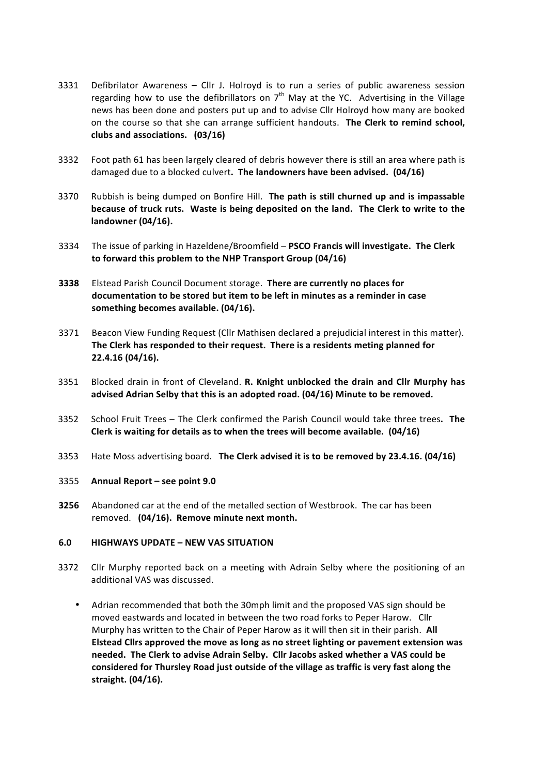- 3331 Defibrilator Awareness Cllr J. Holroyd is to run a series of public awareness session regarding how to use the defibrillators on  $7<sup>th</sup>$  May at the YC. Advertising in the Village news has been done and posters put up and to advise Cllr Holroyd how many are booked on the course so that she can arrange sufficient handouts. The Clerk to remind school, clubs and associations. (03/16)
- 3332 Foot path 61 has been largely cleared of debris however there is still an area where path is damaged due to a blocked culvert. The landowners have been advised. (04/16)
- 3370 Rubbish is being dumped on Bonfire Hill. The path is still churned up and is impassable **because of truck ruts.** Waste is being deposited on the land. The Clerk to write to the **landowner** (04/16).
- 3334 The issue of parking in Hazeldene/Broomfield PSCO Francis will investigate. The Clerk to forward this problem to the NHP Transport Group (04/16)
- **3338** Elstead Parish Council Document storage. There are currently no places for documentation to be stored but item to be left in minutes as a reminder in case something becomes available. (04/16).
- 3371 Beacon View Funding Request (Cllr Mathisen declared a prejudicial interest in this matter). The Clerk has responded to their request. There is a residents meting planned for **22.4.16 (04/16).**
- 3351 Blocked drain in front of Cleveland. **R. Knight unblocked the drain and Cllr Murphy has** advised Adrian Selby that this is an adopted road. (04/16) Minute to be removed.
- 3352 School Fruit Trees The Clerk confirmed the Parish Council would take three trees. The Clerk is waiting for details as to when the trees will become available. (04/16)
- 3353 Hate Moss advertising board. The Clerk advised it is to be removed by 23.4.16. (04/16)
- 3355 **Annual Report – see point 9.0**
- **3256** Abandoned car at the end of the metalled section of Westbrook. The car has been removed. (04/16). Remove minute next month.

#### **6.0 HIGHWAYS UPDATE – NEW VAS SITUATION**

- 3372 Cllr Murphy reported back on a meeting with Adrain Selby where the positioning of an additional VAS was discussed.
	- Adrian recommended that both the 30mph limit and the proposed VAS sign should be moved eastwards and located in between the two road forks to Peper Harow. Cllr Murphy has written to the Chair of Peper Harow as it will then sit in their parish. All **Elstead Clirs approved the move as long as no street lighting or pavement extension was** needed. The Clerk to advise Adrain Selby. Cllr Jacobs asked whether a VAS could be considered for Thursley Road just outside of the village as traffic is very fast along the **straight. (04/16).**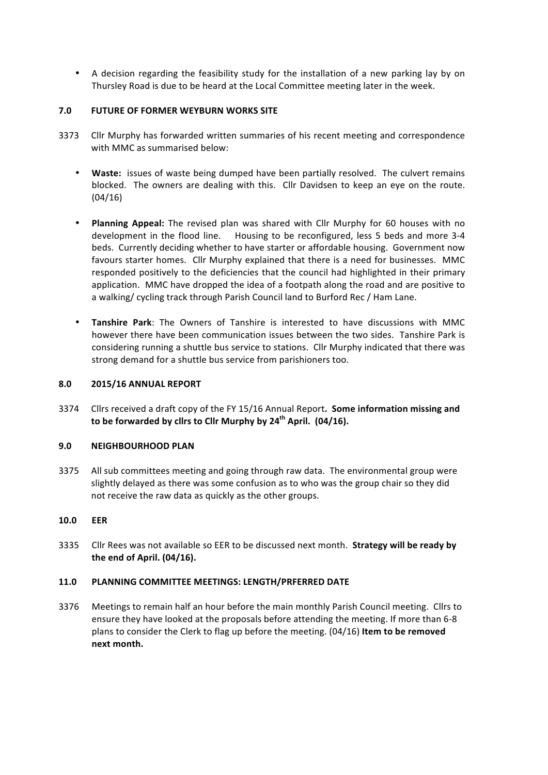• A decision regarding the feasibility study for the installation of a new parking lay by on Thursley Road is due to be heard at the Local Committee meeting later in the week.

## **7.0 FUTURE OF FORMER WEYBURN WORKS SITE**

- 3373 Cllr Murphy has forwarded written summaries of his recent meeting and correspondence with MMC as summarised below:
	- Waste: issues of waste being dumped have been partially resolved. The culvert remains blocked. The owners are dealing with this. Cllr Davidsen to keep an eye on the route. (04/16)
	- **Planning Appeal:** The revised plan was shared with Cllr Murphy for 60 houses with no development in the flood line. Housing to be reconfigured, less 5 beds and more 3-4 beds. Currently deciding whether to have starter or affordable housing. Government now favours starter homes. Cllr Murphy explained that there is a need for businesses. MMC responded positively to the deficiencies that the council had highlighted in their primary application. MMC have dropped the idea of a footpath along the road and are positive to a walking/ cycling track through Parish Council land to Burford Rec / Ham Lane.
	- **Tanshire Park**: The Owners of Tanshire is interested to have discussions with MMC however there have been communication issues between the two sides. Tanshire Park is considering running a shuttle bus service to stations. Cllr Murphy indicated that there was strong demand for a shuttle bus service from parishioners too.

## **8.0 2015/16 ANNUAL REPORT**

3374 Cllrs received a draft copy of the FY 15/16 Annual Report. Some information missing and **to be forwarded by cllrs to Cllr Murphy by 24<sup>th</sup> April. (04/16).** 

#### **9.0 NEIGHBOURHOOD PLAN**

3375 All sub committees meeting and going through raw data. The environmental group were slightly delayed as there was some confusion as to who was the group chair so they did not receive the raw data as quickly as the other groups.

#### **10.0 EER**

3335 Cllr Rees was not available so EER to be discussed next month. **Strategy will be ready by the end of April. (04/16).**

#### **11.0 PLANNING COMMITTEE MEETINGS: LENGTH/PRFERRED DATE**

3376 Meetings to remain half an hour before the main monthly Parish Council meeting. Cllrs to ensure they have looked at the proposals before attending the meeting. If more than 6-8 plans to consider the Clerk to flag up before the meeting. (04/16) Item to be removed **next month.**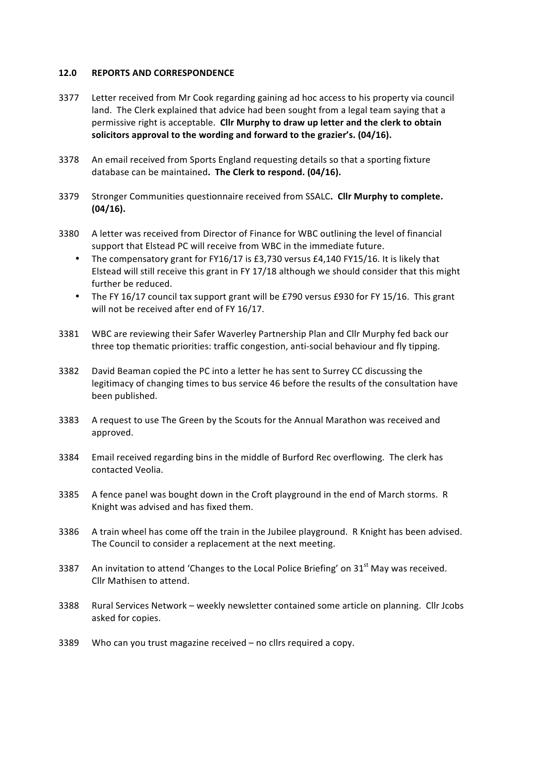#### 12.0 **REPORTS AND CORRESPONDENCE**

- 3377 Letter received from Mr Cook regarding gaining ad hoc access to his property via council land. The Clerk explained that advice had been sought from a legal team saying that a permissive right is acceptable. Cllr Murphy to draw up letter and the clerk to obtain solicitors approval to the wording and forward to the grazier's. (04/16).
- 3378 An email received from Sports England requesting details so that a sporting fixture database can be maintained. The Clerk to respond. (04/16).
- 3379 Stronger Communities questionnaire received from SSALC. Cllr Murphy to complete. **(04/16).**
- 3380 A letter was received from Director of Finance for WBC outlining the level of financial support that Elstead PC will receive from WBC in the immediate future.
	- The compensatory grant for FY16/17 is £3,730 versus £4,140 FY15/16. It is likely that Elstead will still receive this grant in FY 17/18 although we should consider that this might further be reduced.
	- The FY 16/17 council tax support grant will be £790 versus £930 for FY 15/16. This grant will not be received after end of FY 16/17.
- 3381 WBC are reviewing their Safer Waverley Partnership Plan and Cllr Murphy fed back our three top thematic priorities: traffic congestion, anti-social behaviour and fly tipping.
- 3382 David Beaman copied the PC into a letter he has sent to Surrey CC discussing the legitimacy of changing times to bus service 46 before the results of the consultation have been published.
- 3383 A request to use The Green by the Scouts for the Annual Marathon was received and approved.
- 3384 Email received regarding bins in the middle of Burford Rec overflowing. The clerk has contacted Veolia.
- 3385 A fence panel was bought down in the Croft playground in the end of March storms. R Knight was advised and has fixed them.
- 3386 A train wheel has come off the train in the Jubilee playground. R Knight has been advised. The Council to consider a replacement at the next meeting.
- 3387 An invitation to attend 'Changes to the Local Police Briefing' on  $31<sup>st</sup>$  May was received. Cllr Mathisen to attend.
- 3388 Rural Services Network weekly newsletter contained some article on planning. Cllr Jcobs asked for copies.
- 3389 Who can you trust magazine received  $-$  no cllrs required a copy.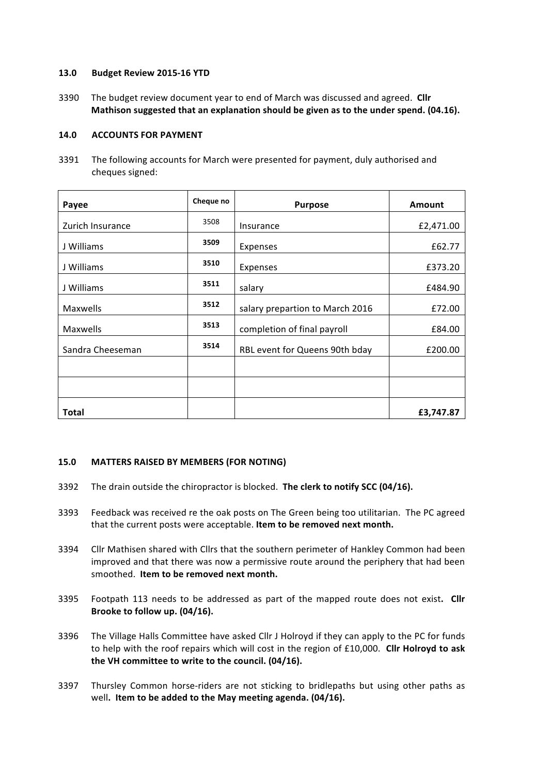#### **13.0 Budget Review 2015-16 YTD**

3390 The budget review document vear to end of March was discussed and agreed. Cllr **Mathison suggested that an explanation should be given as to the under spend. (04.16).** 

#### **14.0 ACCOUNTS FOR PAYMENT**

3391 The following accounts for March were presented for payment, duly authorised and cheques signed:

| Payee            | Cheque no | <b>Purpose</b>                  | <b>Amount</b> |
|------------------|-----------|---------------------------------|---------------|
| Zurich Insurance | 3508      | Insurance                       | £2,471.00     |
| J Williams       | 3509      | Expenses                        | £62.77        |
| J Williams       | 3510      | Expenses                        | £373.20       |
| J Williams       | 3511      | salary                          | £484.90       |
| Maxwells         | 3512      | salary prepartion to March 2016 | £72.00        |
| Maxwells         | 3513      | completion of final payroll     | £84.00        |
| Sandra Cheeseman | 3514      | RBL event for Queens 90th bday  | £200.00       |
|                  |           |                                 |               |
|                  |           |                                 |               |
| <b>Total</b>     |           |                                 | £3,747.87     |

#### **15.0 MATTERS RAISED BY MEMBERS (FOR NOTING)**

- 3392 The drain outside the chiropractor is blocked. The clerk to notify SCC (04/16).
- 3393 Feedback was received re the oak posts on The Green being too utilitarian. The PC agreed that the current posts were acceptable. Item to be removed next month.
- 3394 Cllr Mathisen shared with Cllrs that the southern perimeter of Hankley Common had been improved and that there was now a permissive route around the periphery that had been smoothed. Item to be removed next month.
- 3395 Footpath 113 needs to be addressed as part of the mapped route does not exist. Cllr Brooke to follow up. (04/16).
- 3396 The Village Halls Committee have asked Cllr J Holroyd if they can apply to the PC for funds to help with the roof repairs which will cost in the region of £10,000. Cllr Holroyd to ask the VH committee to write to the council. (04/16).
- 3397 Thursley Common horse-riders are not sticking to bridlepaths but using other paths as well. Item to be added to the May meeting agenda. (04/16).